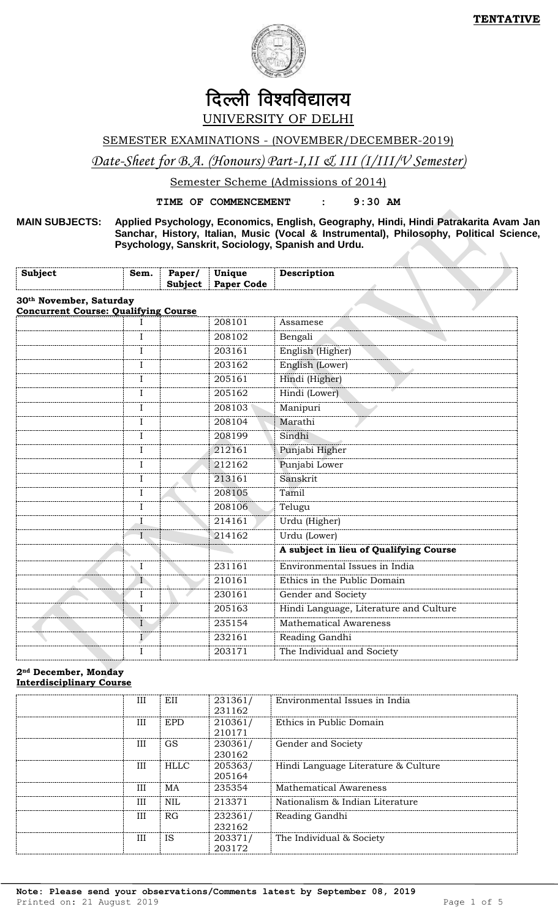$\overline{\phantom{a}}$ 



# दिल्ली विश्वविद्यालय UNIVERSITY OF DELHI

SEMESTER EXAMINATIONS - (NOVEMBER/DECEMBER-2019)

*Date-Sheet for B.A. (Honours) Part-I,II & III (I/III/V Semester)*

Semester Scheme (Admissions of 2014)

**TIME OF COMMENCEMENT : 9:30 AM**

**MAIN SUBJECTS: Applied Psychology, Economics, English, Geography, Hindi, Hindi Patrakarita Avam Jan Sanchar, History, Italian, Music (Vocal & Instrumental), Philosophy, Political Science, Psychology, Sanskrit, Sociology, Spanish and Urdu.**

| <b>Subject</b><br>Sem.                                                             | Paper/<br><b>Subject</b> | Unique<br><b>Paper Code</b> | Description                            |
|------------------------------------------------------------------------------------|--------------------------|-----------------------------|----------------------------------------|
| 30 <sup>th</sup> November, Saturday<br><b>Concurrent Course: Qualifying Course</b> |                          |                             |                                        |
|                                                                                    |                          | 208101                      | Assamese                               |
| $\mathbf I$                                                                        |                          | 208102                      | Bengali                                |
| $\mathbf{I}$                                                                       |                          | 203161                      | English (Higher)                       |
| I                                                                                  |                          | 203162                      | English (Lower)                        |
| $\mathbf I$                                                                        |                          | 205161                      | Hindi (Higher)                         |
| I                                                                                  |                          | 205162                      | Hindi (Lower)                          |
| I                                                                                  |                          | 208103                      | Manipuri                               |
| $\mathbf I$                                                                        |                          | 208104                      | Marathi                                |
| I                                                                                  |                          | 208199                      | Sindhi                                 |
| I                                                                                  |                          | 212161                      | Punjabi Higher                         |
| I                                                                                  |                          | 212162                      | Punjabi Lower                          |
| I                                                                                  |                          | 213161                      | Sanskrit                               |
| $\mathbf I$                                                                        |                          | 208105                      | Tamil                                  |
| $\rm I$                                                                            |                          | 208106                      | Telugu                                 |
| $\bf I$                                                                            |                          | 214161                      | Urdu (Higher)                          |
| I                                                                                  |                          | 214162                      | Urdu (Lower)                           |
|                                                                                    |                          |                             | A subject in lieu of Qualifying Course |
| $\rm I$                                                                            |                          | 231161                      | Environmental Issues in India          |
|                                                                                    | $\Gamma$                 | 210161                      | Ethics in the Public Domain            |
| $\rm I$                                                                            |                          | 230161                      | Gender and Society                     |
| $\bf I$                                                                            |                          | 205163                      | Hindi Language, Literature and Culture |
| $\mathbf I$                                                                        |                          | 235154                      | <b>Mathematical Awareness</b>          |
| $\mathbf{I}$                                                                       |                          | 232161                      | Reading Gandhi                         |
| I                                                                                  |                          | 203171                      | The Individual and Society             |

#### **2nd December, Monday Interdisciplinary Course**

| Ш          | EII         | 231361/<br>231162 | Environmental Issues in India       |
|------------|-------------|-------------------|-------------------------------------|
| <b>III</b> | <b>EPD</b>  | 210361/<br>210171 | Ethics in Public Domain             |
| ΠI         | <b>GS</b>   | 230361/<br>230162 | Gender and Society                  |
| Ш          | <b>HLLC</b> | 205363/<br>205164 | Hindi Language Literature & Culture |
| Ш          | MA          | 235354            | <b>Mathematical Awareness</b>       |
| III        | <b>NIL</b>  | 213371            | Nationalism & Indian Literature     |
| ΠI         | RG          | 232361/<br>232162 | Reading Gandhi                      |
| III        | <b>IS</b>   | 203371/<br>203172 | The Individual & Society            |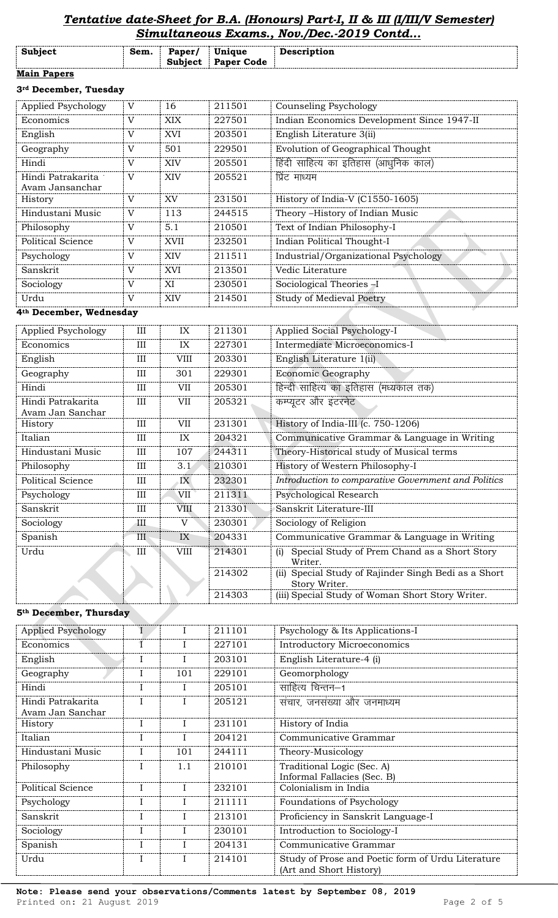## *Tentative date-Sheet for B.A. (Honours) Part-I, II & III (I/III/V Semester) Simultaneous Exams., Nov./Dec.-2019 Contd...*

| Subject            | Sem. | Paper/<br>Subject | Unique<br><b>Paper Code</b> | Description |
|--------------------|------|-------------------|-----------------------------|-------------|
| <b>Main Papers</b> |      |                   |                             |             |

#### **3rd December, Tuesday**

| Applied Psychology                   | V            | 16          | 211501 | <b>Counseling Psychology</b>               |
|--------------------------------------|--------------|-------------|--------|--------------------------------------------|
| Economics                            | V            | XIX.        | 227501 | Indian Economics Development Since 1947-II |
| English                              | V            | <b>XVI</b>  | 203501 | English Literature 3(ii)                   |
| Geography                            | V            | 501         | 229501 | Evolution of Geographical Thought          |
| Hindi                                | V            | XIV         | 205501 | हिंदी साहित्य का इतिहास (आधुनिक काल)       |
| Hindi Patrakarita<br>Avam Jansanchar | V            | XIV         | 205521 | प्रिंट माध्यम                              |
| History                              | V            | XV          | 231501 | History of India-V (C1550-1605)            |
| Hindustani Music                     | $\mathbf{V}$ | 113         | 244515 | Theory -History of Indian Music            |
| Philosophy                           | V            | 5.1         | 210501 | Text of Indian Philosophy-I                |
| Political Science                    | $\mathbf{V}$ | <b>XVII</b> | 232501 | Indian Political Thought-I                 |
| Psychology                           | V            | <b>XIV</b>  | 211511 | Industrial/Organizational Psychology       |
| Sanskrit                             | $\mathbf{V}$ | <b>XVI</b>  | 213501 | Vedic Literature                           |
| Sociology                            | V            | XI          | 230501 | Sociological Theories -I                   |
| Urdu                                 | $\mathbf{V}$ | XIV         | 214501 | Study of Medieval Poetry                   |

# **4th December, Wednesday**

| Applied Psychology       | III | IX          | 211301 | Applied Social Psychology-I                                              |
|--------------------------|-----|-------------|--------|--------------------------------------------------------------------------|
| Economics                | III | IX          | 227301 | Intermediate Microeconomics-I                                            |
| English                  | Ш   | <b>VIII</b> | 203301 | English Literature 1(ii)                                                 |
| Geography                | III | 301         | 229301 | <b>Economic Geography</b>                                                |
| Hindi                    | Ш   | VII         | 205301 | हिन्दी साहित्य का इतिहास (मध्यकाल तक)                                    |
| Hindi Patrakarita        | III | <b>VII</b>  | 205321 | कम्प्यूटर और इंटरनेट                                                     |
| Avam Jan Sanchar         |     |             |        |                                                                          |
| History                  | III | VII         | 231301 | History of India-III (c. 750-1206)                                       |
| Italian                  | Ш   | IX          | 204321 | Communicative Grammar & Language in Writing                              |
| Hindustani Music         | Ш   | 107         | 244311 | Theory-Historical study of Musical terms                                 |
| Philosophy               | Ш   | 3.1         | 210301 | History of Western Philosophy-I                                          |
| <b>Political Science</b> | III | IX          | 232301 | Introduction to comparative Government and Politics                      |
| Psychology               | III | VII         | 211311 | Psychological Research                                                   |
| Sanskrit                 | Ш   | <b>VIII</b> | 213301 | Sanskrit Literature-III                                                  |
| Sociology                | Ш   | V           | 230301 | Sociology of Religion                                                    |
| Spanish                  | III | IX          | 204331 | Communicative Grammar & Language in Writing                              |
| Urdu                     | III | <b>VIII</b> | 214301 | Special Study of Prem Chand as a Short Story<br>(i)<br>Writer.           |
|                          |     |             | 214302 | Special Study of Rajinder Singh Bedi as a Short<br>(ii)<br>Story Writer. |
|                          |     |             | 214303 | (iii) Special Study of Woman Short Story Writer.                         |

#### **5th December, Thursday**

| <b>Applied Psychology</b>             | T              |     | 211101 | Psychology & Its Applications-I                                              |
|---------------------------------------|----------------|-----|--------|------------------------------------------------------------------------------|
| Economics                             | $\overline{1}$ |     | 227101 | <b>Introductory Microeconomics</b>                                           |
| English                               | I              |     | 203101 | English Literature-4 (i)                                                     |
| Geography                             | I              | 101 | 229101 | Geomorphology                                                                |
| Hindi                                 | I              |     | 205101 | साहित्य चिन्तन–1                                                             |
| Hindi Patrakarita<br>Avam Jan Sanchar |                |     | 205121 | संचार, जनसंख्या और जनमाध्यम                                                  |
| History                               | I              |     | 231101 | History of India                                                             |
| Italian                               | $\mathbf I$    |     | 204121 | Communicative Grammar                                                        |
| Hindustani Music                      | I              | 101 | 244111 | Theory-Musicology                                                            |
| Philosophy                            | $\mathbf{I}$   | 1.1 | 210101 | Traditional Logic (Sec. A)<br>Informal Fallacies (Sec. B)                    |
| Political Science                     | $\mathbf I$    |     | 232101 | Colonialism in India                                                         |
| Psychology                            |                |     | 211111 | Foundations of Psychology                                                    |
| Sanskrit                              |                |     | 213101 | Proficiency in Sanskrit Language-I                                           |
| Sociology                             | I              |     | 230101 | Introduction to Sociology-I                                                  |
| Spanish                               |                |     | 204131 | Communicative Grammar                                                        |
| Urdu                                  | $\mathbf I$    |     | 214101 | Study of Prose and Poetic form of Urdu Literature<br>(Art and Short History) |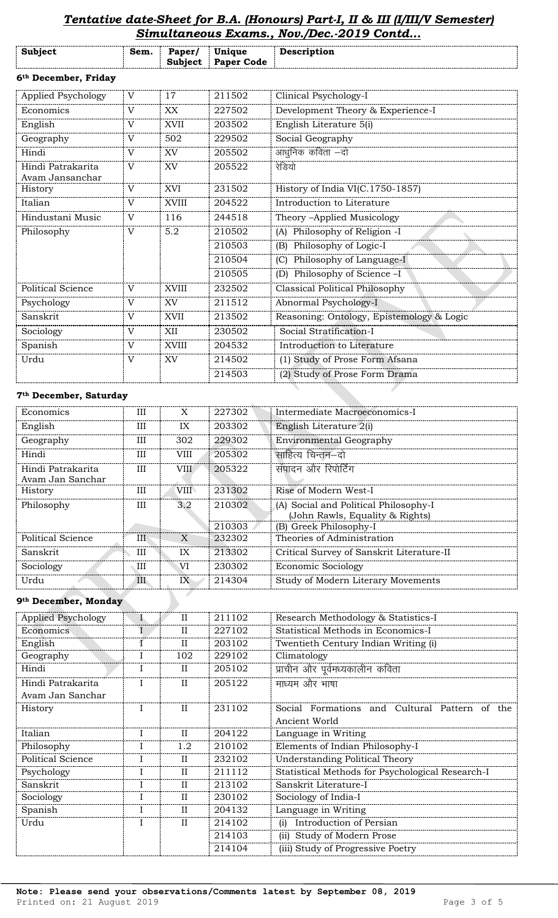# *Tentative date-Sheet for B.A. (Honours) Part-I, II & III (I/III/V Semester)*

|                                      | Simultaneous Exams., Nov./Dec.-2019 Contd |                          |                             |                                           |  |  |
|--------------------------------------|-------------------------------------------|--------------------------|-----------------------------|-------------------------------------------|--|--|
| Subject                              | Sem.                                      | Paper/<br><b>Subject</b> | Unique<br><b>Paper Code</b> | Description                               |  |  |
| 6 <sup>th</sup> December, Friday     |                                           |                          |                             |                                           |  |  |
| Applied Psychology                   | V                                         | 17                       | 211502                      | Clinical Psychology-I                     |  |  |
| Economics                            | $\mathbf{V}$                              | XX                       | 227502                      | Development Theory & Experience-I         |  |  |
| English                              | V                                         | <b>XVII</b>              | 203502                      | English Literature 5(i)                   |  |  |
| Geography                            | $\mathbf{V}$                              | 502                      | 229502                      | Social Geography                          |  |  |
| Hindi                                | $\mathbf{V}$                              | XV                       | 205502                      | आधुनिक कविता –दो                          |  |  |
| Hindi Patrakarita<br>Avam Jansanchar | $\mathbf{V}$                              | XV                       | 205522                      | रेडियो                                    |  |  |
| History                              | $\overline{V}$                            | XVI                      | 231502                      | History of India VI(C.1750-1857)          |  |  |
| Italian                              | $\mathbf{V}$                              | <b>XVIII</b>             | 204522                      | Introduction to Literature                |  |  |
| Hindustani Music                     | V                                         | 116                      | 244518                      | Theory -Applied Musicology                |  |  |
| Philosophy                           | $\mathbf{V}$                              | 5.2                      | 210502                      | (A) Philosophy of Religion -I             |  |  |
|                                      |                                           |                          | 210503                      | (B) Philosophy of Logic-I                 |  |  |
|                                      |                                           |                          | 210504                      | (C) Philosophy of Language-I              |  |  |
|                                      |                                           |                          | 210505                      | (D) Philosophy of Science -I              |  |  |
| <b>Political Science</b>             | $\mathbf{V}$                              | <b>XVIII</b>             | 232502                      | <b>Classical Political Philosophy</b>     |  |  |
| Psychology                           | V                                         | XV                       | 211512                      | Abnormal Psychology-I                     |  |  |
| Sanskrit                             | $\mathbf{V}$                              | <b>XVII</b>              | 213502                      | Reasoning: Ontology, Epistemology & Logic |  |  |
| Sociology                            | $\mathbf{V}$                              | XII                      | 230502                      | Social Stratification-I                   |  |  |
| Spanish                              | V                                         | <b>XVIII</b>             | 204532                      | Introduction to Literature                |  |  |
| Urdu                                 | $\mathbf{V}$                              | XV                       | 214502                      | (1) Study of Prose Form Afsana            |  |  |
|                                      |                                           |                          | 214503                      | (2) Study of Prose Form Drama             |  |  |

#### **7th December, Saturday**

| Economics         | Ш   | X           | 227302 | Intermediate Macroeconomics-I             |
|-------------------|-----|-------------|--------|-------------------------------------------|
| English           | Ш   | IX          | 203302 | English Literature 2(i)                   |
| Geography         | Ш   | 302         | 229302 | <b>Environmental Geography</b>            |
| Hindi             | Ш   | VIII        | 205302 | साहित्य चिन्तन–दो                         |
| Hindi Patrakarita | ΠI  | <b>VIII</b> | 205322 | संपादन और रिपोर्टिंग                      |
| Avam Jan Sanchar  |     |             |        |                                           |
| History           | Ш   | VIII        | 231302 | Rise of Modern West-I                     |
| Philosophy        | III | 3.2         | 210302 | (A) Social and Political Philosophy-I     |
|                   |     |             |        | (John Rawls, Equality & Rights)           |
|                   |     |             | 210303 | (B) Greek Philosophy-I                    |
| Political Science | III | X           | 232302 | Theories of Administration                |
| Sanskrit          | Ш   | IX          | 213302 | Critical Survey of Sanskrit Literature-II |
| Sociology         | Ш   | VI          | 230302 | <b>Economic Sociology</b>                 |
| Urdu              | III | IX          | 214304 | Study of Modern Literary Movements        |

### **9th December, Monday**

| Applied Psychology | $\mathbf{I}$ | $\mathbf{I}$ | 211102 | Research Methodology & Statistics-I              |
|--------------------|--------------|--------------|--------|--------------------------------------------------|
| Economics          |              | $_{\rm II}$  | 227102 | Statistical Methods in Economics-I               |
| English            | ſ            | $\mathbf{I}$ | 203102 | Twentieth Century Indian Writing (i)             |
| Geography          | $\bf{I}$     | 102          | 229102 | Climatology                                      |
| Hindi              | I            | $\mathbf{I}$ | 205102 | प्राचीन और पूर्वमध्यकालीन कविता                  |
| Hindi Patrakarita  |              | $\mathbf{I}$ | 205122 | माध्यम और भाषा                                   |
| Avam Jan Sanchar   |              |              |        |                                                  |
| History            | $\mathbf{I}$ | $\mathbf{I}$ | 231102 | Social Formations and Cultural Pattern of the    |
|                    |              |              |        | Ancient World                                    |
| Italian            | I            | $\mathbf{I}$ | 204122 | Language in Writing                              |
| Philosophy         | I            | 1.2          | 210102 | Elements of Indian Philosophy-I                  |
| Political Science  |              | $\mathbf{I}$ | 232102 | <b>Understanding Political Theory</b>            |
| Psychology         |              | $\mathbf{I}$ | 211112 | Statistical Methods for Psychological Research-I |
| Sanskrit           |              | $\mathbf{I}$ | 213102 | Sanskrit Literature-I                            |
| Sociology          |              | $\mathbf{I}$ | 230102 | Sociology of India-I                             |
| Spanish            |              | $\mathbf{I}$ | 204132 | Language in Writing                              |
| Urdu               | I            | $\mathbf{H}$ | 214102 | Introduction of Persian<br>(i)                   |
|                    |              |              | 214103 | Study of Modern Prose<br>(ii)                    |
|                    |              |              | 214104 | (iii) Study of Progressive Poetry                |

 $\mathbb{R}$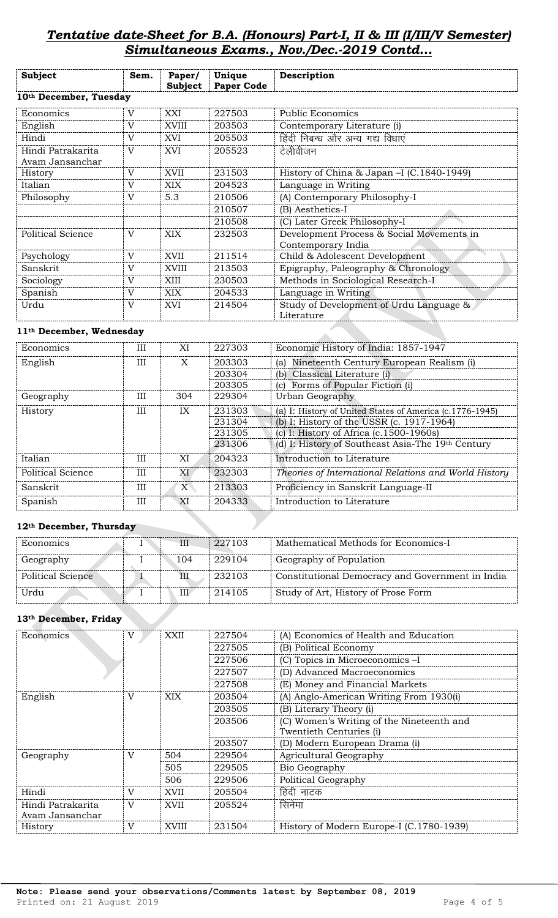# *Tentative date-Sheet for B.A. (Honours) Part-I, II & III (I/III/V Semester) Simultaneous Exams., Nov./Dec.-2019 Contd...*

| <b>Subject</b>                       | Sem.           | Paper/<br><b>Subject</b> | Unique<br><b>Paper Code</b> | Description                                                     |
|--------------------------------------|----------------|--------------------------|-----------------------------|-----------------------------------------------------------------|
| 10th December, Tuesday               |                |                          |                             |                                                                 |
| Economics                            | V              | XXI                      | 227503                      | <b>Public Economics</b>                                         |
| English                              | $\mathbf V$    | XVIII                    | 203503                      | Contemporary Literature (i)                                     |
| Hindi                                | $\mathbf V$    | XVI                      | 205503                      | हिंदी निबन्ध और अन्य गद्य विधाएं                                |
| Hindi Patrakarita<br>Avam Jansanchar | $\mathbf V$    | XVI                      | 205523                      | टेलीवीजन                                                        |
| History                              | V              | XVII                     | 231503                      | History of China & Japan -I (C.1840-1949)                       |
| Italian                              | V              | <b>XIX</b>               | 204523                      | Language in Writing                                             |
| Philosophy                           | V              | 5.3                      | 210506                      | (A) Contemporary Philosophy-I                                   |
|                                      |                |                          | 210507                      | (B) Aesthetics-I                                                |
|                                      |                |                          | 210508                      | (C) Later Greek Philosophy-I                                    |
| <b>Political Science</b>             | V              | <b>XIX</b>               | 232503                      | Development Process & Social Movements in<br>Contemporary India |
| Psychology                           | V              | <b>XVII</b>              | 211514                      | Child & Adolescent Development                                  |
| Sanskrit                             | $\overline{V}$ | <b>XVIII</b>             | 213503                      | Epigraphy, Paleography & Chronology                             |
| Sociology                            | $\mathbf V$    | XIII                     | 230503                      | Methods in Sociological Research-I                              |
| Spanish                              | $\mathbf{V}$   | <b>XIX</b>               | 204533                      | Language in Writing                                             |
| Urdu                                 | $\mathbf V$    | <b>XVI</b>               | 214504                      | Study of Development of Urdu Language &<br>Literature           |

### **11th December, Wednesday**

| Economics         | Ш   | XI  | 227303 | Economic History of India: 1857-1947                     |
|-------------------|-----|-----|--------|----------------------------------------------------------|
| English           | Ш   | X   | 203303 | Nineteenth Century European Realism (i)<br>(a)           |
|                   |     |     | 203304 | (b) Classical Literature (i)                             |
|                   |     |     | 203305 | Forms of Popular Fiction (i)<br>(c)                      |
| Geography         | Ш   | 304 | 229304 | Urban Geography                                          |
| History           | Ш   | IX  | 231303 | (a) I: History of United States of America (c.1776-1945) |
|                   |     |     | 231304 | (b) I: History of the USSR (c. 1917-1964)                |
|                   |     |     | 231305 | (c) I: History of Africa $(c.1500-1960s)$                |
|                   |     |     | 231306 | (d) I: History of Southeast Asia-The 19th Century        |
| Italian           | Ш   | XI  | 204323 | Introduction to Literature                               |
| Political Science | Ш   | XI  | 232303 | Theories of International Relations and World History    |
| Sanskrit          | Ш   | X   | 213303 | Proficiency in Sanskrit Language-II                      |
| Spanish           | III | XI  | 204333 | Introduction to Literature                               |

### **12th December, Thursday**

| Economics         | IΙI | 227103 | Mathematical Methods for Economics-I             |
|-------------------|-----|--------|--------------------------------------------------|
| Geography         | 104 | 229104 | Geography of Population                          |
| Political Science | Ш   | 232103 | Constitutional Democracy and Government in India |
| Urdu              | III | 214105 | Study of Art, History of Prose Form              |

#### **13th December, Friday**

| Economics         | V            | XXII        | 227504 | (A) Economics of Health and Education     |  |  |
|-------------------|--------------|-------------|--------|-------------------------------------------|--|--|
|                   |              |             | 227505 | (B) Political Economy                     |  |  |
|                   |              |             | 227506 | (C) Topics in Microeconomics -I           |  |  |
|                   |              |             | 227507 | (D) Advanced Macroeconomics               |  |  |
|                   |              |             | 227508 | (E) Money and Financial Markets           |  |  |
| English           | V            | <b>XIX</b>  | 203504 | (A) Anglo-American Writing From 1930(i)   |  |  |
|                   |              |             | 203505 | (B) Literary Theory (i)                   |  |  |
|                   |              |             | 203506 | (C) Women's Writing of the Nineteenth and |  |  |
|                   |              |             |        | Twentieth Centuries (i)                   |  |  |
|                   |              |             | 203507 | (D) Modern European Drama (i)             |  |  |
| Geography         | V            | 504         | 229504 | Agricultural Geography                    |  |  |
|                   |              | 505         | 229505 | Bio Geography                             |  |  |
|                   |              | 506         | 229506 | Political Geography                       |  |  |
| Hindi             | $\mathbf{V}$ | XVII        | 205504 | हिंदी नाटक                                |  |  |
| Hindi Patrakarita | V            | <b>XVII</b> | 205524 | सिनेमा                                    |  |  |
| Avam Jansanchar   |              |             |        |                                           |  |  |
| History           | V            | XVIII       | 231504 | History of Modern Europe-I (C.1780-1939)  |  |  |